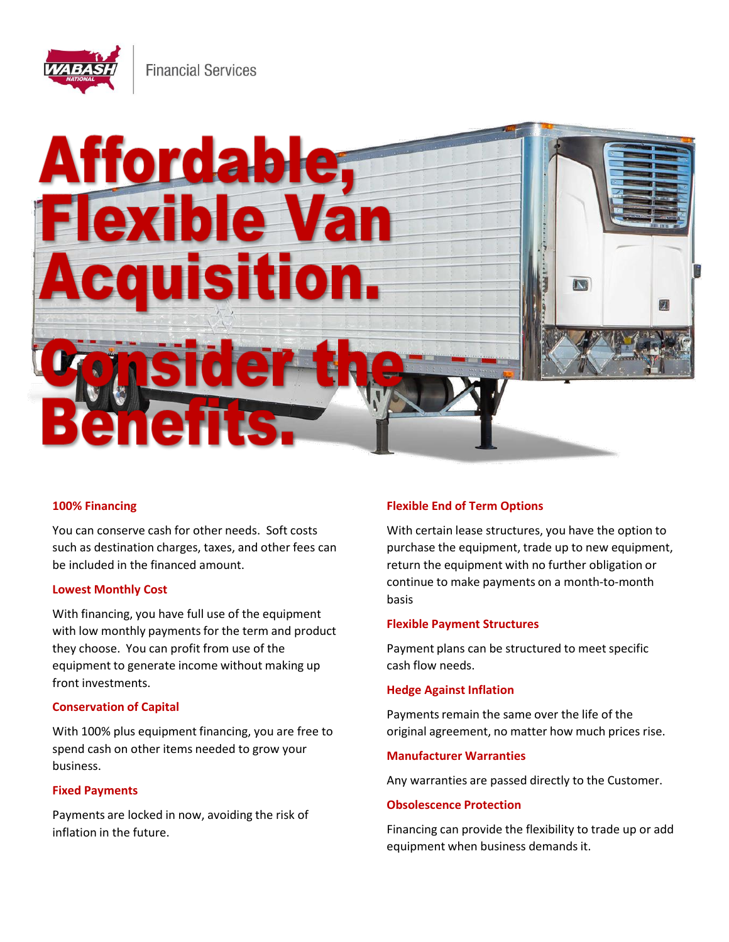**Financial Services** 



## **100% Financing**

You can conserve cash for other needs. Soft costs such as destination charges, taxes, and other fees can be included in the financed amount.

#### **Lowest Monthly Cost**

With financing, you have full use of the equipment with low monthly payments for the term and product they choose. You can profit from use of the equipment to generate income without making up front investments.

#### **Conservation of Capital**

With 100% plus equipment financing, you are free to spend cash on other items needed to grow your business.

#### **Fixed Payments**

Payments are locked in now, avoiding the risk of inflation in the future.

## **Flexible End of Term Options**

With certain lease structures, you have the option to purchase the equipment, trade up to new equipment, return the equipment with no further obligation or continue to make payments on a month-to-month basis

#### **Flexible Payment Structures**

Payment plans can be structured to meet specific cash flow needs.

#### **Hedge Against Inflation**

Payments remain the same over the life of the original agreement, no matter how much prices rise.

#### **Manufacturer Warranties**

Any warranties are passed directly to the Customer.

#### **Obsolescence Protection**

Financing can provide the flexibility to trade up or add equipment when business demands it.